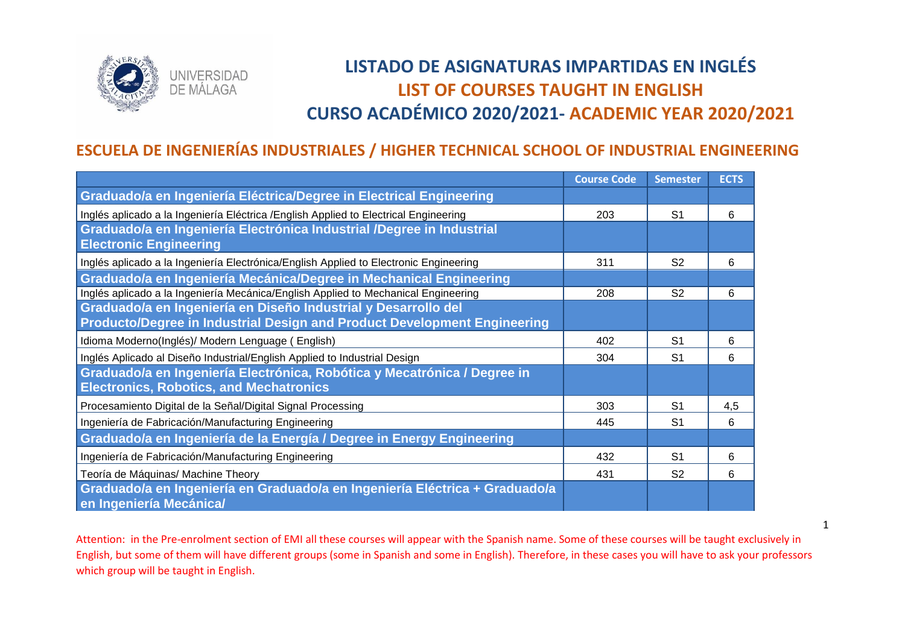

# **LISTADO DE ASIGNATURAS IMPARTIDAS EN INGLÉS LIST OF COURSES TAUGHT IN ENGLISH CURSO ACADÉMICO 2020/2021- ACADEMIC YEAR 2020/2021**

## **ESCUELA DE INGENIERÍAS INDUSTRIALES / HIGHER TECHNICAL SCHOOL OF INDUSTRIAL ENGINEERING**

|                                                                                                        | <b>Course Code</b> | <b>Semester</b> | <b>ECTS</b> |
|--------------------------------------------------------------------------------------------------------|--------------------|-----------------|-------------|
| Graduado/a en Ingeniería Eléctrica/Degree in Electrical Engineering                                    |                    |                 |             |
| Inglés aplicado a la Ingeniería Eléctrica / English Applied to Electrical Engineering                  | 203                | S <sub>1</sub>  | 6           |
| Graduado/a en Ingeniería Electrónica Industrial /Degree in Industrial                                  |                    |                 |             |
| <b>Electronic Engineering</b>                                                                          |                    |                 |             |
| Inglés aplicado a la Ingeniería Electrónica/English Applied to Electronic Engineering                  | 311                | S <sub>2</sub>  | 6           |
| Graduado/a en Ingeniería Mecánica/Degree in Mechanical Engineering                                     |                    |                 |             |
| Inglés aplicado a la Ingeniería Mecánica/English Applied to Mechanical Engineering                     | 208                | S <sub>2</sub>  | 6           |
| Graduado/a en Ingeniería en Diseño Industrial y Desarrollo del                                         |                    |                 |             |
| Producto/Degree in Industrial Design and Product Development Engineering                               |                    |                 |             |
| Idioma Moderno(Inglés)/ Modern Lenguage (English)                                                      | 402                | S <sub>1</sub>  | 6           |
| Inglés Aplicado al Diseño Industrial/English Applied to Industrial Design                              | 304                | S <sub>1</sub>  | 6           |
| Graduado/a en Ingeniería Electrónica, Robótica y Mecatrónica / Degree in                               |                    |                 |             |
| <b>Electronics, Robotics, and Mechatronics</b>                                                         |                    |                 |             |
| Procesamiento Digital de la Señal/Digital Signal Processing                                            | 303                | S <sub>1</sub>  | 4,5         |
| Ingeniería de Fabricación/Manufacturing Engineering                                                    | 445                | S <sub>1</sub>  | 6           |
| Graduado/a en Ingeniería de la Energía / Degree in Energy Engineering                                  |                    |                 |             |
| Ingeniería de Fabricación/Manufacturing Engineering                                                    | 432                | S <sub>1</sub>  | 6           |
| Teoría de Máquinas/ Machine Theory                                                                     | 431                | S <sub>2</sub>  | 6           |
| Graduado/a en Ingeniería en Graduado/a en Ingeniería Eléctrica + Graduado/a<br>en Ingeniería Mecánica/ |                    |                 |             |

Attention: in the Pre-enrolment section of EMI all these courses will appear with the Spanish name. Some of these courses will be taught exclusively in English, but some of them will have different groups (some in Spanish and some in English). Therefore, in these cases you will have to ask your professors which group will be taught in English.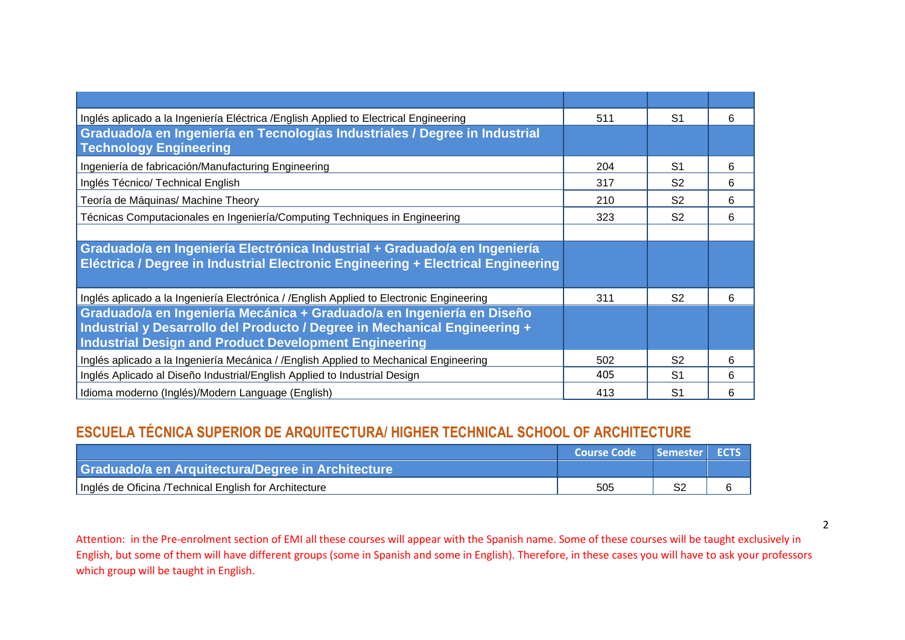| Inglés aplicado a la Ingeniería Eléctrica / English Applied to Electrical Engineering     | 511 | S1             | 6 |
|-------------------------------------------------------------------------------------------|-----|----------------|---|
| Graduado/a en Ingeniería en Tecnologías Industriales / Degree in Industrial               |     |                |   |
| <b>Technology Engineering</b>                                                             |     |                |   |
| Ingeniería de fabricación/Manufacturing Engineering                                       | 204 | S <sub>1</sub> | 6 |
| Inglés Técnico/ Technical English                                                         | 317 | S <sub>2</sub> | 6 |
| Teoría de Máquinas/ Machine Theory                                                        | 210 | S <sub>2</sub> | 6 |
| Técnicas Computacionales en Ingeniería/Computing Techniques in Engineering                | 323 | S <sub>2</sub> | 6 |
|                                                                                           |     |                |   |
| Graduado/a en Ingeniería Electrónica Industrial + Graduado/a en Ingeniería                |     |                |   |
| Eléctrica / Degree in Industrial Electronic Engineering + Electrical Engineering          |     |                |   |
|                                                                                           |     |                |   |
| Inglés aplicado a la Ingeniería Electrónica / / English Applied to Electronic Engineering | 311 | S <sub>2</sub> | 6 |
| Graduado/a en Ingeniería Mecánica + Graduado/a en Ingeniería en Diseño                    |     |                |   |
| Industrial y Desarrollo del Producto / Degree in Mechanical Engineering +                 |     |                |   |
| <b>Industrial Design and Product Development Engineering</b>                              |     |                |   |
| Inglés aplicado a la Ingeniería Mecánica / / English Applied to Mechanical Engineering    | 502 | S <sub>2</sub> | 6 |
| Inglés Aplicado al Diseño Industrial/English Applied to Industrial Design                 | 405 | S1             | 6 |
| Idioma moderno (Inglés)/Modern Language (English)                                         | 413 | S <sub>1</sub> | 6 |

## **ESCUELA TÉCNICA SUPERIOR DE ARQUITECTURA/ HIGHER TECHNICAL SCHOOL OF ARCHITECTURE**

|                                                       | L Course Code \ | Semester ECTS |  |
|-------------------------------------------------------|-----------------|---------------|--|
| Graduado/a en Arquitectura/Degree in Architecture     |                 |               |  |
| Inglés de Oficina /Technical English for Architecture | 505             | en            |  |

Attention: in the Pre-enrolment section of EMI all these courses will appear with the Spanish name. Some of these courses will be taught exclusively in English, but some of them will have different groups (some in Spanish and some in English). Therefore, in these cases you will have to ask your professors which group will be taught in English.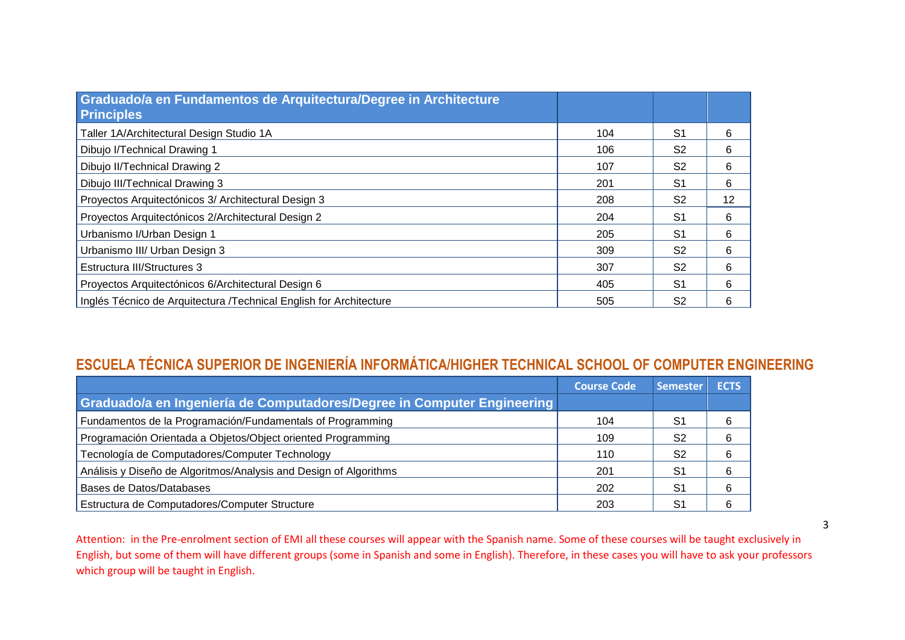| Graduado/a en Fundamentos de Arquitectura/Degree in Architecture<br><b>Principles</b> |     |                |    |
|---------------------------------------------------------------------------------------|-----|----------------|----|
| Taller 1A/Architectural Design Studio 1A                                              | 104 | S <sub>1</sub> | 6  |
| Dibujo I/Technical Drawing 1                                                          | 106 | S2             | 6  |
| Dibujo II/Technical Drawing 2                                                         | 107 | S2             | 6  |
| Dibujo III/Technical Drawing 3                                                        | 201 | S <sub>1</sub> | 6  |
| Proyectos Arquitectónicos 3/ Architectural Design 3                                   | 208 | S <sub>2</sub> | 12 |
| Proyectos Arquitectónicos 2/Architectural Design 2                                    | 204 | S <sub>1</sub> | 6  |
| Urbanismo I/Urban Design 1                                                            | 205 | S <sub>1</sub> | 6  |
| Urbanismo III/ Urban Design 3                                                         | 309 | S <sub>2</sub> | 6  |
| <b>Estructura III/Structures 3</b>                                                    | 307 | S <sub>2</sub> | 6  |
| Proyectos Arquitectónicos 6/Architectural Design 6                                    | 405 | S <sub>1</sub> | 6  |
| Inglés Técnico de Arquitectura /Technical English for Architecture                    | 505 | S <sub>2</sub> | 6  |

## **ESCUELA TÉCNICA SUPERIOR DE INGENIERÍA INFORMÁTICA/HIGHER TECHNICAL SCHOOL OF COMPUTER ENGINEERING**

|                                                                         | <b>Course Code</b> | Semester       | <b>ECTS</b> |
|-------------------------------------------------------------------------|--------------------|----------------|-------------|
| Graduado/a en Ingeniería de Computadores/Degree in Computer Engineering |                    |                |             |
| Fundamentos de la Programación/Fundamentals of Programming              | 104                | S1             |             |
| Programación Orientada a Objetos/Object oriented Programming            | 109                | S2             | 6           |
| Tecnología de Computadores/Computer Technology                          | 110                | S <sub>2</sub> | 6           |
| Análisis y Diseño de Algoritmos/Analysis and Design of Algorithms       | 201                | S1             | 6           |
| Bases de Datos/Databases                                                | 202                | S1             | 6           |
| Estructura de Computadores/Computer Structure                           | 203                | S1             |             |

Attention: in the Pre-enrolment section of EMI all these courses will appear with the Spanish name. Some of these courses will be taught exclusively in English, but some of them will have different groups (some in Spanish and some in English). Therefore, in these cases you will have to ask your professors which group will be taught in English.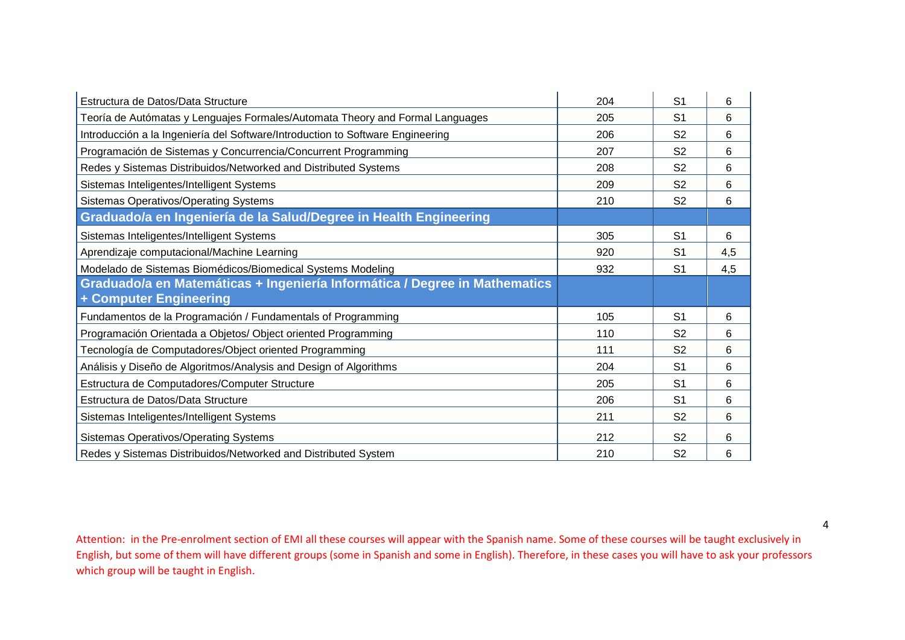| Estructura de Datos/Data Structure                                             | 204 | S <sub>1</sub> | 6   |
|--------------------------------------------------------------------------------|-----|----------------|-----|
| Teoría de Autómatas y Lenguajes Formales/Automata Theory and Formal Languages  | 205 | S <sub>1</sub> | 6   |
| Introducción a la Ingeniería del Software/Introduction to Software Engineering | 206 | S <sub>2</sub> | 6   |
| Programación de Sistemas y Concurrencia/Concurrent Programming                 | 207 | S <sub>2</sub> | 6   |
| Redes y Sistemas Distribuidos/Networked and Distributed Systems                | 208 | S <sub>2</sub> | 6   |
| Sistemas Inteligentes/Intelligent Systems                                      | 209 | S <sub>2</sub> | 6   |
| <b>Sistemas Operativos/Operating Systems</b>                                   | 210 | S <sub>2</sub> | 6   |
| Graduado/a en Ingeniería de la Salud/Degree in Health Engineering              |     |                |     |
| Sistemas Inteligentes/Intelligent Systems                                      | 305 | S <sub>1</sub> | 6   |
| Aprendizaje computacional/Machine Learning                                     | 920 | S <sub>1</sub> | 4,5 |
| Modelado de Sistemas Biomédicos/Biomedical Systems Modeling                    | 932 | S <sub>1</sub> | 4,5 |
| Graduado/a en Matemáticas + Ingeniería Informática / Degree in Mathematics     |     |                |     |
| + Computer Engineering                                                         |     |                |     |
| Fundamentos de la Programación / Fundamentals of Programming                   | 105 | S <sub>1</sub> | 6   |
| Programación Orientada a Objetos/ Object oriented Programming                  | 110 | S <sub>2</sub> | 6   |
| Tecnología de Computadores/Object oriented Programming                         | 111 | S <sub>2</sub> | 6   |
| Análisis y Diseño de Algoritmos/Analysis and Design of Algorithms              | 204 | S <sub>1</sub> | 6   |
| Estructura de Computadores/Computer Structure                                  | 205 | S <sub>1</sub> | 6   |
| Estructura de Datos/Data Structure                                             | 206 | S <sub>1</sub> | 6   |
| Sistemas Inteligentes/Intelligent Systems                                      | 211 | S <sub>2</sub> | 6   |
| <b>Sistemas Operativos/Operating Systems</b>                                   | 212 | S <sub>2</sub> | 6   |
| Redes y Sistemas Distribuidos/Networked and Distributed System                 | 210 | S <sub>2</sub> | 6   |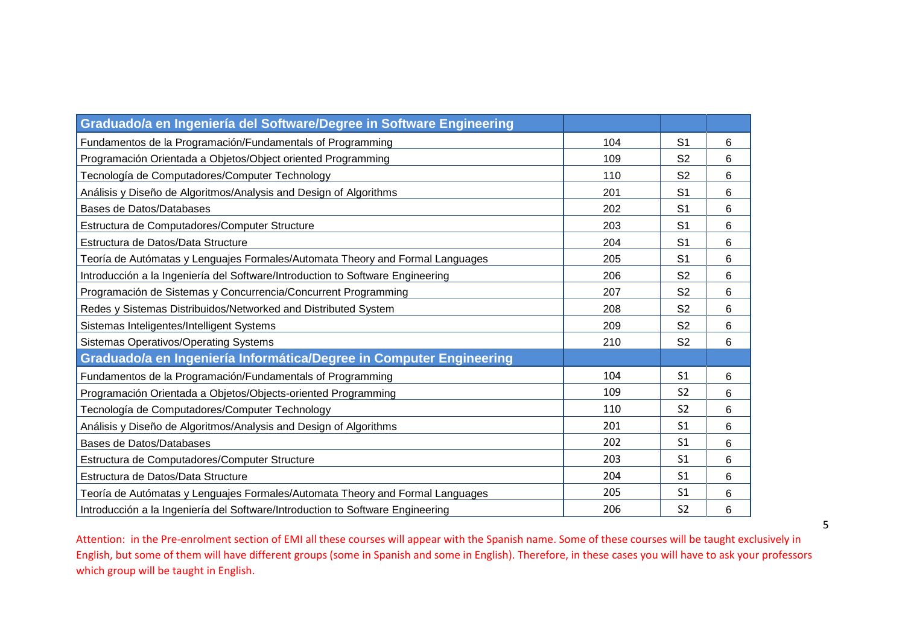| Graduado/a en Ingeniería del Software/Degree in Software Engineering           |     |                |   |
|--------------------------------------------------------------------------------|-----|----------------|---|
| Fundamentos de la Programación/Fundamentals of Programming                     | 104 | S <sub>1</sub> | 6 |
| Programación Orientada a Objetos/Object oriented Programming                   | 109 | S <sub>2</sub> | 6 |
| Tecnología de Computadores/Computer Technology                                 | 110 | S <sub>2</sub> | 6 |
| Análisis y Diseño de Algoritmos/Analysis and Design of Algorithms              | 201 | S <sub>1</sub> | 6 |
| Bases de Datos/Databases                                                       | 202 | S <sub>1</sub> | 6 |
| Estructura de Computadores/Computer Structure                                  | 203 | S <sub>1</sub> | 6 |
| Estructura de Datos/Data Structure                                             | 204 | S <sub>1</sub> | 6 |
| Teoría de Autómatas y Lenguajes Formales/Automata Theory and Formal Languages  | 205 | S <sub>1</sub> | 6 |
| Introducción a la Ingeniería del Software/Introduction to Software Engineering | 206 | S <sub>2</sub> | 6 |
| Programación de Sistemas y Concurrencia/Concurrent Programming                 | 207 | S <sub>2</sub> | 6 |
| Redes y Sistemas Distribuidos/Networked and Distributed System                 | 208 | S <sub>2</sub> | 6 |
| Sistemas Inteligentes/Intelligent Systems                                      | 209 | S <sub>2</sub> | 6 |
| <b>Sistemas Operativos/Operating Systems</b>                                   | 210 | S <sub>2</sub> | 6 |
| Graduado/a en Ingeniería Informática/Degree in Computer Engineering            |     |                |   |
| Fundamentos de la Programación/Fundamentals of Programming                     | 104 | S <sub>1</sub> | 6 |
| Programación Orientada a Objetos/Objects-oriented Programming                  | 109 | S <sub>2</sub> | 6 |
| Tecnología de Computadores/Computer Technology                                 | 110 | S <sub>2</sub> | 6 |
| Análisis y Diseño de Algoritmos/Analysis and Design of Algorithms              | 201 | S <sub>1</sub> | 6 |
| Bases de Datos/Databases                                                       | 202 | S <sub>1</sub> | 6 |
| Estructura de Computadores/Computer Structure                                  | 203 | S <sub>1</sub> | 6 |
| Estructura de Datos/Data Structure                                             | 204 | S <sub>1</sub> | 6 |
| Teoría de Autómatas y Lenguajes Formales/Automata Theory and Formal Languages  | 205 | S <sub>1</sub> | 6 |
| Introducción a la Ingeniería del Software/Introduction to Software Engineering | 206 | S <sub>2</sub> | 6 |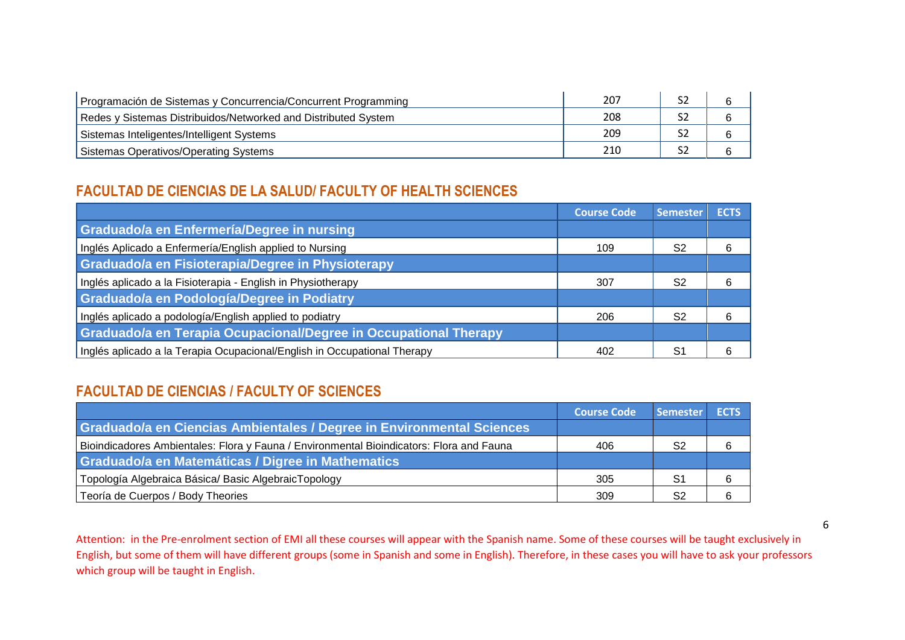| Programación de Sistemas y Concurrencia/Concurrent Programming | 207 |   |
|----------------------------------------------------------------|-----|---|
| Redes y Sistemas Distribuidos/Networked and Distributed System | 208 |   |
| Sistemas Inteligentes/Intelligent Systems                      | 209 | n |
| Sistemas Operativos/Operating Systems                          | 210 | b |

### **FACULTAD DE CIENCIAS DE LA SALUD/ FACULTY OF HEALTH SCIENCES**

|                                                                          | <b>Course Code</b> | <b>Semester</b> | <b>ECTS</b> |
|--------------------------------------------------------------------------|--------------------|-----------------|-------------|
| Graduado/a en Enfermería/Degree in nursing                               |                    |                 |             |
| Inglés Aplicado a Enfermería/English applied to Nursing                  | 109                | S <sub>2</sub>  |             |
| Graduado/a en Fisioterapia/Degree in Physioterapy                        |                    |                 |             |
| Inglés aplicado a la Fisioterapia - English in Physiotherapy             | 307                | S2              |             |
| Graduado/a en Podología/Degree in Podiatry                               |                    |                 |             |
| Inglés aplicado a podología/English applied to podiatry                  | 206                | S <sub>2</sub>  |             |
| Graduado/a en Terapia Ocupacional/Degree in Occupational Therapy         |                    |                 |             |
| Inglés aplicado a la Terapia Ocupacional/English in Occupational Therapy | 402                | S1              |             |

### **FACULTAD DE CIENCIAS / FACULTY OF SCIENCES**

|                                                                                          | <b>Course Code</b> | <b>Semester</b> | <b>ECTS</b> |
|------------------------------------------------------------------------------------------|--------------------|-----------------|-------------|
| Graduado/a en Ciencias Ambientales / Degree in Environmental Sciences                    |                    |                 |             |
| Bioindicadores Ambientales: Flora y Fauna / Environmental Bioindicators: Flora and Fauna | 406                | -S2             | 6           |
| Graduado/a en Matemáticas / Digree in Mathematics                                        |                    |                 |             |
| Topología Algebraica Básica/Basic AlgebraicTopology                                      | 305                | -S1             | 6           |
| Teoría de Cuerpos / Body Theories                                                        | 309                |                 | 6           |

Attention: in the Pre-enrolment section of EMI all these courses will appear with the Spanish name. Some of these courses will be taught exclusively in English, but some of them will have different groups (some in Spanish and some in English). Therefore, in these cases you will have to ask your professors which group will be taught in English.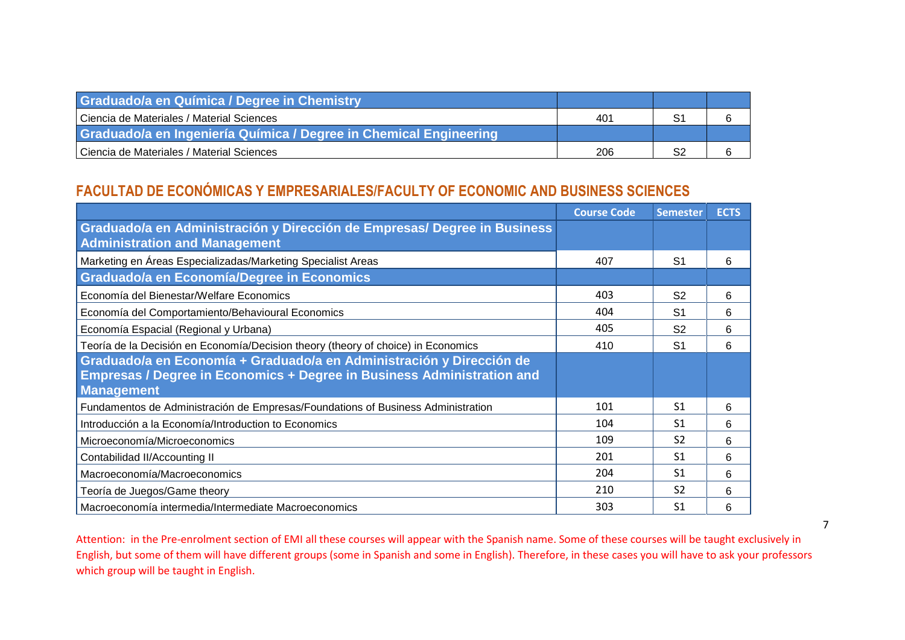| <b>Graduado/a en Química / Degree in Chemistry</b>                |     |  |
|-------------------------------------------------------------------|-----|--|
| Ciencia de Materiales / Material Sciences                         | 401 |  |
| Graduado/a en Ingeniería Química / Degree in Chemical Engineering |     |  |
| Ciencia de Materiales / Material Sciences                         | 206 |  |

### **FACULTAD DE ECONÓMICAS Y EMPRESARIALES/FACULTY OF ECONOMIC AND BUSINESS SCIENCES**

|                                                                                                                                                                            | <b>Course Code</b> | <b>Semester</b> | <b>ECTS</b> |
|----------------------------------------------------------------------------------------------------------------------------------------------------------------------------|--------------------|-----------------|-------------|
| Graduado/a en Administración y Dirección de Empresas/ Degree in Business<br><b>Administration and Management</b>                                                           |                    |                 |             |
| Marketing en Áreas Especializadas/Marketing Specialist Areas                                                                                                               | 407                | S <sub>1</sub>  | 6           |
| Graduado/a en Economía/Degree in Economics                                                                                                                                 |                    |                 |             |
| Economía del Bienestar/Welfare Economics                                                                                                                                   | 403                | S <sub>2</sub>  | 6           |
| Economía del Comportamiento/Behavioural Economics                                                                                                                          | 404                | S <sub>1</sub>  | 6           |
| Economía Espacial (Regional y Urbana)                                                                                                                                      | 405                | S <sub>2</sub>  | 6           |
| Teoría de la Decisión en Economía/Decision theory (theory of choice) in Economics                                                                                          | 410                | S <sub>1</sub>  | 6           |
| Graduado/a en Economía + Graduado/a en Administración y Dirección de<br><b>Empresas / Degree in Economics + Degree in Business Administration and</b><br><b>Management</b> |                    |                 |             |
| Fundamentos de Administración de Empresas/Foundations of Business Administration                                                                                           | 101                | S <sub>1</sub>  | 6           |
| Introducción a la Economía/Introduction to Economics                                                                                                                       | 104                | -S1             | 6           |
| Microeconomía/Microeconomics                                                                                                                                               | 109                | S <sub>2</sub>  | 6           |
| Contabilidad II/Accounting II                                                                                                                                              | 201                | S <sub>1</sub>  | 6           |
| Macroeconomía/Macroeconomics                                                                                                                                               | 204                | S <sub>1</sub>  | 6           |
| Teoría de Juegos/Game theory                                                                                                                                               | 210                | S <sub>2</sub>  | 6           |
| Macroeconomía intermedia/Intermediate Macroeconomics                                                                                                                       | 303                | S <sub>1</sub>  | 6           |

Attention: in the Pre-enrolment section of EMI all these courses will appear with the Spanish name. Some of these courses will be taught exclusively in English, but some of them will have different groups (some in Spanish and some in English). Therefore, in these cases you will have to ask your professors which group will be taught in English.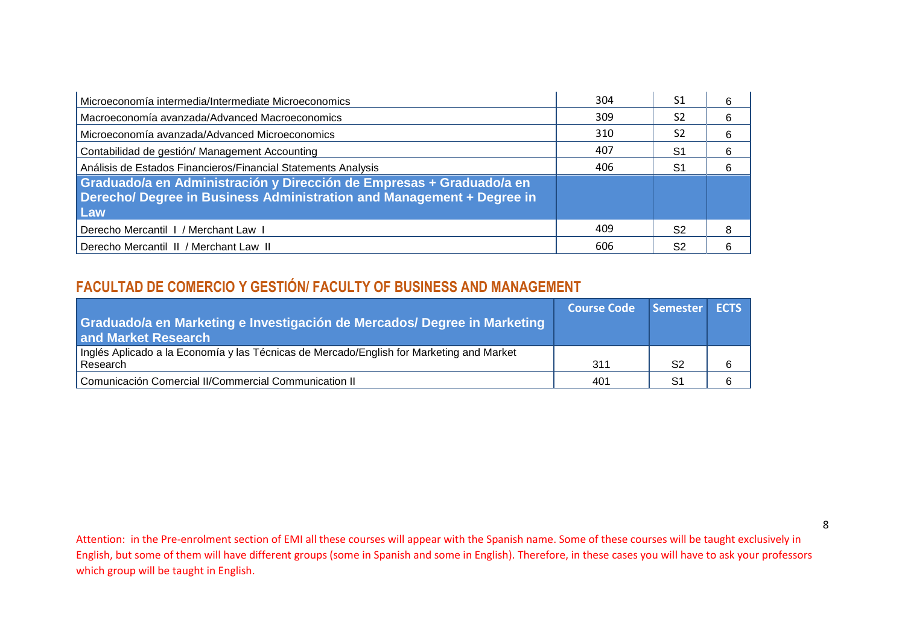| Microeconomía intermedia/Intermediate Microeconomics                                                                                                 | 304 | S1             |  |
|------------------------------------------------------------------------------------------------------------------------------------------------------|-----|----------------|--|
| Macroeconomía avanzada/Advanced Macroeconomics                                                                                                       | 309 | S <sub>2</sub> |  |
| Microeconomía avanzada/Advanced Microeconomics                                                                                                       | 310 | S2             |  |
| Contabilidad de gestión/ Management Accounting                                                                                                       | 407 | S1             |  |
| Análisis de Estados Financieros/Financial Statements Analysis                                                                                        | 406 | S1             |  |
| Graduado/a en Administración y Dirección de Empresas + Graduado/a en<br>Derecho/ Degree in Business Administration and Management + Degree in<br>Law |     |                |  |
| Derecho Mercantil I / Merchant Law I                                                                                                                 | 409 | S2             |  |
| Derecho Mercantil II / Merchant Law II                                                                                                               | 606 | S2             |  |

## **FACULTAD DE COMERCIO Y GESTIÓN/ FACULTY OF BUSINESS AND MANAGEMENT**

| Graduado/a en Marketing e Investigación de Mercados/ Degree in Marketing<br>and Market Research      | Course Code Semester ECTS |                |   |
|------------------------------------------------------------------------------------------------------|---------------------------|----------------|---|
| Inglés Aplicado a la Economía y las Técnicas de Mercado/English for Marketing and Market<br>Research | 311                       | S <sub>2</sub> | 6 |
| Comunicación Comercial II/Commercial Communication II                                                | 401                       |                | 6 |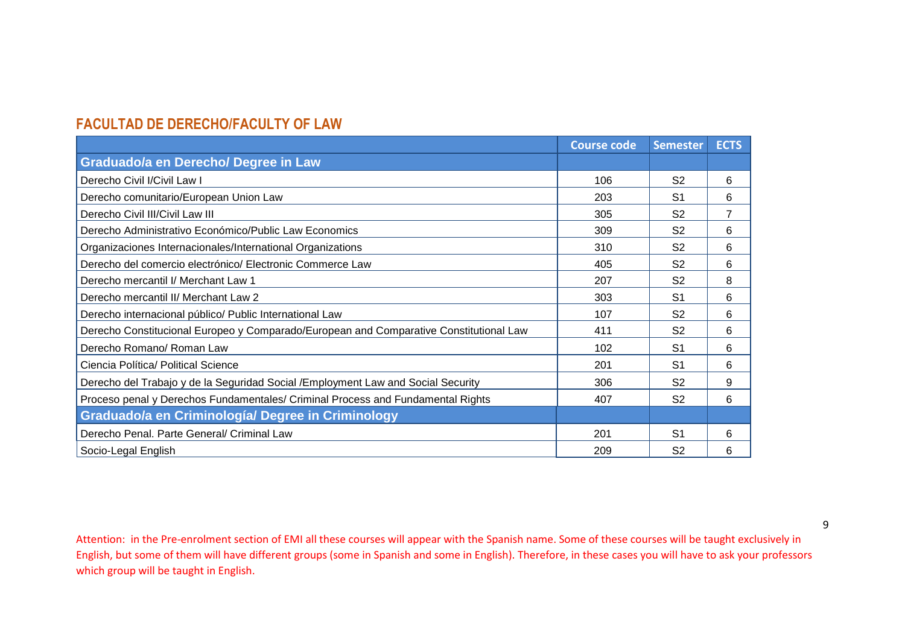### **FACULTAD DE DERECHO/FACULTY OF LAW**

|                                                                                        | <b>Course code</b> | <b>Semester</b> | <b>ECTS</b>    |
|----------------------------------------------------------------------------------------|--------------------|-----------------|----------------|
| <b>Graduado/a en Derecho/ Degree in Law</b>                                            |                    |                 |                |
| Derecho Civil I/Civil Law I                                                            | 106                | S <sub>2</sub>  | 6              |
| Derecho comunitario/European Union Law                                                 | 203                | S <sub>1</sub>  | 6              |
| Derecho Civil III/Civil Law III                                                        | 305                | S <sub>2</sub>  | $\overline{7}$ |
| Derecho Administrativo Económico/Public Law Economics                                  | 309                | S <sub>2</sub>  | 6              |
| Organizaciones Internacionales/International Organizations                             | 310                | S <sub>2</sub>  | 6              |
| Derecho del comercio electrónico/ Electronic Commerce Law                              | 405                | S <sub>2</sub>  | 6              |
| Derecho mercantil I/ Merchant Law 1                                                    | 207                | S <sub>2</sub>  | 8              |
| Derecho mercantil II/ Merchant Law 2                                                   | 303                | S <sub>1</sub>  | 6              |
| Derecho internacional público/ Public International Law                                | 107                | S <sub>2</sub>  | 6              |
| Derecho Constitucional Europeo y Comparado/European and Comparative Constitutional Law | 411                | S <sub>2</sub>  | 6              |
| Derecho Romano/ Roman Law                                                              | 102                | S <sub>1</sub>  | 6              |
| Ciencia Política/ Political Science                                                    | 201                | S <sub>1</sub>  | 6              |
| Derecho del Trabajo y de la Seguridad Social / Employment Law and Social Security      | 306                | S <sub>2</sub>  | 9              |
| Proceso penal y Derechos Fundamentales/ Criminal Process and Fundamental Rights        | 407                | S <sub>2</sub>  | 6              |
| Graduado/a en Criminología/ Degree in Criminology                                      |                    |                 |                |
| Derecho Penal. Parte General/ Criminal Law                                             | 201                | S <sub>1</sub>  | 6              |
| Socio-Legal English                                                                    | 209                | S <sub>2</sub>  | 6              |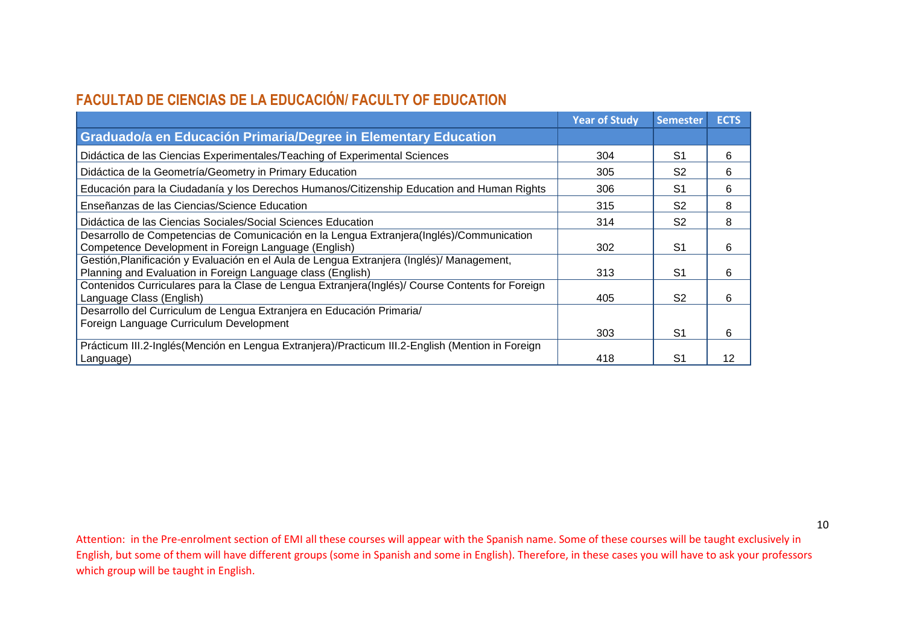## **FACULTAD DE CIENCIAS DE LA EDUCACIÓN/ FACULTY OF EDUCATION**

|                                                                                                                                                          | <b>Year of Study</b> | <b>Semester</b> | <b>ECTS</b> |
|----------------------------------------------------------------------------------------------------------------------------------------------------------|----------------------|-----------------|-------------|
| Graduado/a en Educación Primaria/Degree in Elementary Education                                                                                          |                      |                 |             |
| Didáctica de las Ciencias Experimentales/Teaching of Experimental Sciences                                                                               | 304                  | S <sub>1</sub>  | 6           |
| Didáctica de la Geometría/Geometry in Primary Education                                                                                                  | 305                  | S <sub>2</sub>  | 6           |
| Educación para la Ciudadanía y los Derechos Humanos/Citizenship Education and Human Rights                                                               | 306                  | S1              | 6           |
| Enseñanzas de las Ciencias/Science Education                                                                                                             | 315                  | S <sub>2</sub>  | 8           |
| Didáctica de las Ciencias Sociales/Social Sciences Education                                                                                             | 314                  | S <sub>2</sub>  | 8           |
| Desarrollo de Competencias de Comunicación en la Lengua Extranjera (Inglés)/Communication<br>Competence Development in Foreign Language (English)        | 302                  | S <sub>1</sub>  | 6           |
| Gestión, Planificación y Evaluación en el Aula de Lengua Extranjera (Inglés)/ Management,<br>Planning and Evaluation in Foreign Language class (English) | 313                  | S <sub>1</sub>  | 6           |
| Contenidos Curriculares para la Clase de Lengua Extranjera(Inglés)/ Course Contents for Foreign<br>Language Class (English)                              | 405                  | S <sub>2</sub>  | 6           |
| Desarrollo del Curriculum de Lengua Extranjera en Educación Primaria/                                                                                    |                      |                 |             |
| Foreign Language Curriculum Development                                                                                                                  | 303                  | S <sub>1</sub>  | 6           |
| Prácticum III.2-Inglés (Mención en Lengua Extranjera)/Practicum III.2-English (Mention in Foreign<br>Language)                                           | 418                  | S1              | 12          |

Attention: in the Pre-enrolment section of EMI all these courses will appear with the Spanish name. Some of these courses will be taught exclusively in English, but some of them will have different groups (some in Spanish and some in English). Therefore, in these cases you will have to ask your professors which group will be taught in English.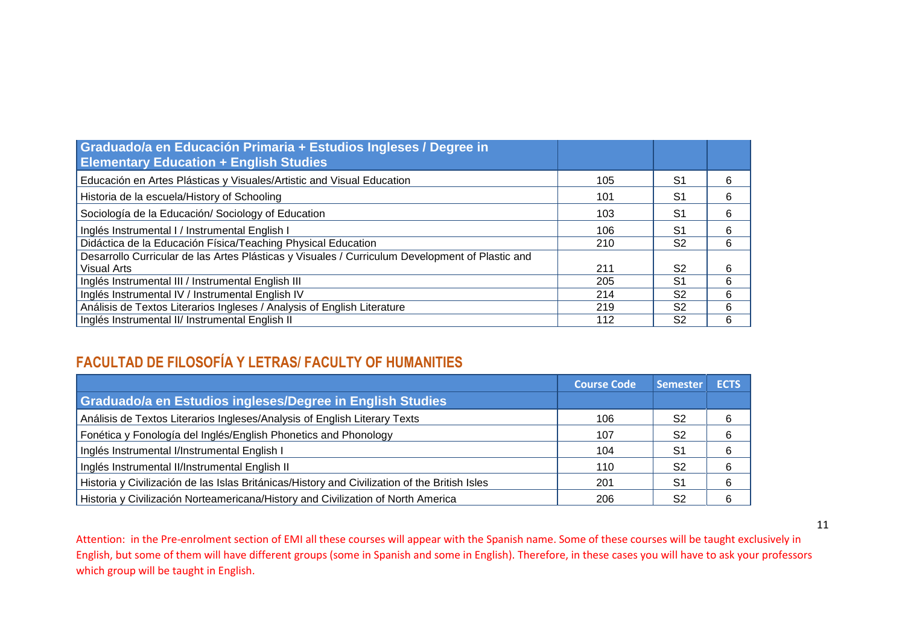| Graduado/a en Educación Primaria + Estudios Ingleses / Degree in<br><b>Elementary Education + English Studies</b> |     |                |   |
|-------------------------------------------------------------------------------------------------------------------|-----|----------------|---|
| Educación en Artes Plásticas y Visuales/Artistic and Visual Education                                             | 105 | S1             | 6 |
| Historia de la escuela/History of Schooling                                                                       | 101 | S1             | 6 |
| Sociología de la Educación/ Sociology of Education                                                                | 103 | S1             | 6 |
| Inglés Instrumental I / Instrumental English I                                                                    | 106 | S1             | 6 |
| Didáctica de la Educación Física/Teaching Physical Education                                                      | 210 | S <sub>2</sub> | 6 |
| Desarrollo Curricular de las Artes Plásticas y Visuales / Curriculum Development of Plastic and                   |     |                |   |
| Visual Arts                                                                                                       | 211 | S2             | 6 |
| Inglés Instrumental III / Instrumental English III                                                                | 205 | S1             | 6 |
| Inglés Instrumental IV / Instrumental English IV                                                                  | 214 | S <sub>2</sub> | 6 |
| Análisis de Textos Literarios Ingleses / Analysis of English Literature                                           | 219 | S <sub>2</sub> | 6 |
| Inglés Instrumental II/ Instrumental English II                                                                   | 112 | S2             | 6 |

## **FACULTAD DE FILOSOFÍA Y LETRAS/ FACULTY OF HUMANITIES**

|                                                                                               | <b>Course Code</b> | <b>Semester</b> | <b>ECTS</b> |
|-----------------------------------------------------------------------------------------------|--------------------|-----------------|-------------|
| Graduado/a en Estudios ingleses/Degree in English Studies                                     |                    |                 |             |
| Análisis de Textos Literarios Ingleses/Analysis of English Literary Texts                     | 106                | S2              |             |
| Fonética y Fonología del Inglés/English Phonetics and Phonology                               | 107                | S2              | 6           |
| Inglés Instrumental I/Instrumental English I                                                  | 104                | S1              | 6           |
| Inglés Instrumental II/Instrumental English II                                                | 110                | S2              | 6           |
| Historia y Civilización de las Islas Británicas/History and Civilization of the British Isles | 201                | S <sub>1</sub>  | 6           |
| Historia y Civilización Norteamericana/History and Civilization of North America              | 206                | S2              |             |

Attention: in the Pre-enrolment section of EMI all these courses will appear with the Spanish name. Some of these courses will be taught exclusively in English, but some of them will have different groups (some in Spanish and some in English). Therefore, in these cases you will have to ask your professors which group will be taught in English.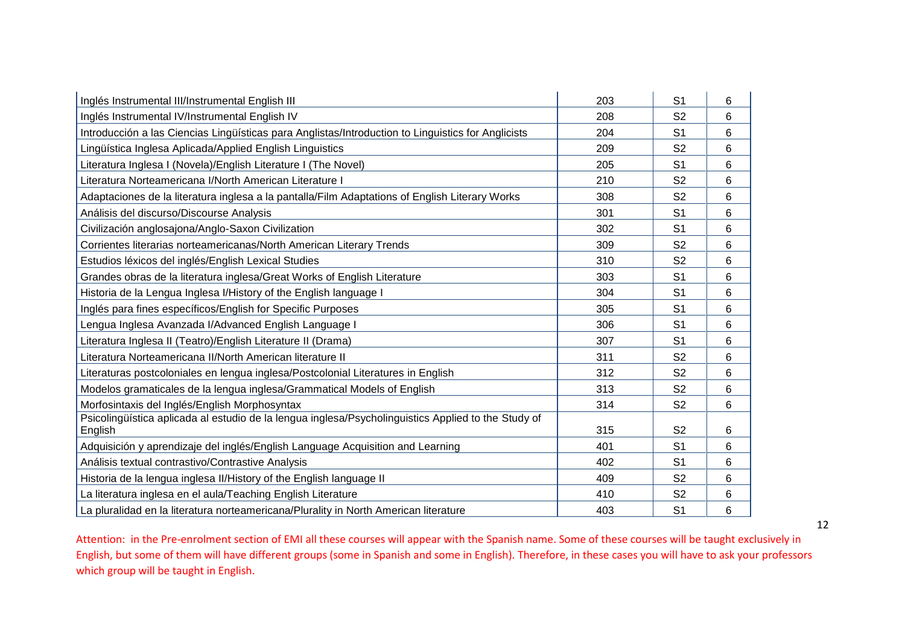| Inglés Instrumental III/Instrumental English III                                                    | 203 | S <sub>1</sub> | 6 |
|-----------------------------------------------------------------------------------------------------|-----|----------------|---|
| Inglés Instrumental IV/Instrumental English IV                                                      | 208 | S <sub>2</sub> | 6 |
| Introducción a las Ciencias Lingüísticas para Anglistas/Introduction to Linguistics for Anglicists  | 204 | S <sub>1</sub> | 6 |
| Lingüística Inglesa Aplicada/Applied English Linguistics                                            | 209 | S <sub>2</sub> | 6 |
| Literatura Inglesa I (Novela)/English Literature I (The Novel)                                      | 205 | S <sub>1</sub> | 6 |
| Literatura Norteamericana I/North American Literature I                                             | 210 | S <sub>2</sub> | 6 |
| Adaptaciones de la literatura inglesa a la pantalla/Film Adaptations of English Literary Works      | 308 | S <sub>2</sub> | 6 |
| Análisis del discurso/Discourse Analysis                                                            | 301 | S <sub>1</sub> | 6 |
| Civilización anglosajona/Anglo-Saxon Civilization                                                   | 302 | S <sub>1</sub> | 6 |
| Corrientes literarias norteamericanas/North American Literary Trends                                | 309 | S <sub>2</sub> | 6 |
| Estudios léxicos del inglés/English Lexical Studies                                                 | 310 | S <sub>2</sub> | 6 |
| Grandes obras de la literatura inglesa/Great Works of English Literature                            | 303 | S <sub>1</sub> | 6 |
| Historia de la Lengua Inglesa I/History of the English language I                                   | 304 | S <sub>1</sub> | 6 |
| Inglés para fines específicos/English for Specific Purposes                                         | 305 | S <sub>1</sub> | 6 |
| Lengua Inglesa Avanzada I/Advanced English Language I                                               | 306 | S <sub>1</sub> | 6 |
| Literatura Inglesa II (Teatro)/English Literature II (Drama)                                        | 307 | S <sub>1</sub> | 6 |
| Literatura Norteamericana II/North American literature II                                           | 311 | S <sub>2</sub> | 6 |
| Literaturas postcoloniales en lengua inglesa/Postcolonial Literatures in English                    | 312 | S <sub>2</sub> | 6 |
| Modelos gramaticales de la lengua inglesa/Grammatical Models of English                             | 313 | S <sub>2</sub> | 6 |
| Morfosintaxis del Inglés/English Morphosyntax                                                       | 314 | S <sub>2</sub> | 6 |
| Psicolingüística aplicada al estudio de la lengua inglesa/Psycholinguistics Applied to the Study of |     |                |   |
| English                                                                                             | 315 | S <sub>2</sub> | 6 |
| Adquisición y aprendizaje del inglés/English Language Acquisition and Learning                      | 401 | S <sub>1</sub> | 6 |
| Análisis textual contrastivo/Contrastive Analysis                                                   | 402 | S <sub>1</sub> | 6 |
| Historia de la lengua inglesa II/History of the English language II                                 | 409 | S <sub>2</sub> | 6 |
| La literatura inglesa en el aula/Teaching English Literature                                        | 410 | S <sub>2</sub> | 6 |
| La pluralidad en la literatura norteamericana/Plurality in North American literature                | 403 | S <sub>1</sub> | 6 |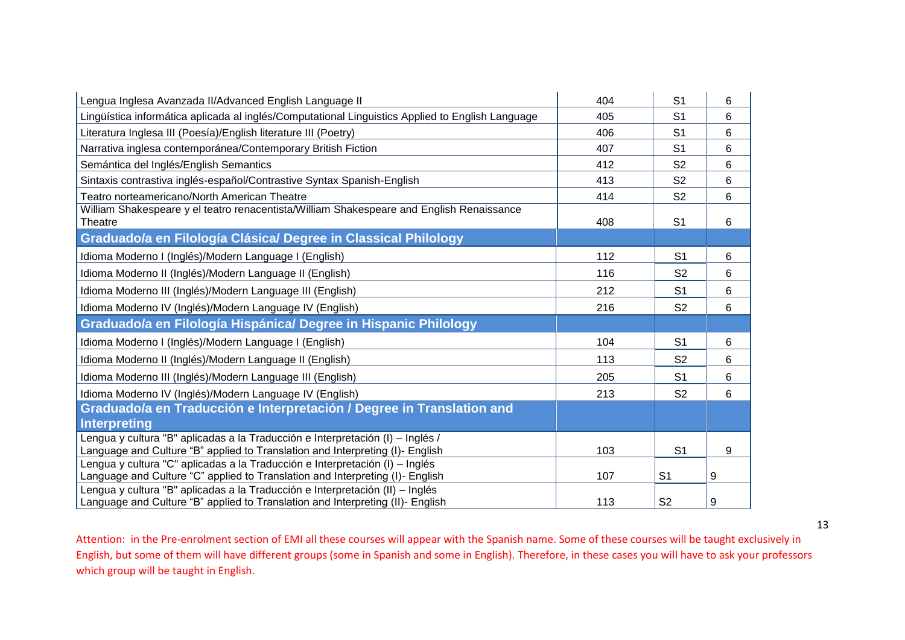| Lengua Inglesa Avanzada II/Advanced English Language II                                                                                                       | 404 | S <sub>1</sub> | 6 |
|---------------------------------------------------------------------------------------------------------------------------------------------------------------|-----|----------------|---|
| Lingüística informática aplicada al inglés/Computational Linguistics Applied to English Language                                                              | 405 | S <sub>1</sub> | 6 |
| Literatura Inglesa III (Poesía)/English literature III (Poetry)                                                                                               | 406 | S <sub>1</sub> | 6 |
| Narrativa inglesa contemporánea/Contemporary British Fiction                                                                                                  | 407 | S <sub>1</sub> | 6 |
| Semántica del Inglés/English Semantics                                                                                                                        | 412 | S <sub>2</sub> | 6 |
| Sintaxis contrastiva inglés-español/Contrastive Syntax Spanish-English                                                                                        | 413 | S <sub>2</sub> | 6 |
| Teatro norteamericano/North American Theatre                                                                                                                  | 414 | S <sub>2</sub> | 6 |
| William Shakespeare y el teatro renacentista/William Shakespeare and English Renaissance<br>Theatre                                                           | 408 | S <sub>1</sub> | 6 |
| Graduado/a en Filología Clásica/ Degree in Classical Philology                                                                                                |     |                |   |
| Idioma Moderno I (Inglés)/Modern Language I (English)                                                                                                         | 112 | S <sub>1</sub> | 6 |
| Idioma Moderno II (Inglés)/Modern Language II (English)                                                                                                       | 116 | S <sub>2</sub> | 6 |
| Idioma Moderno III (Inglés)/Modern Language III (English)                                                                                                     | 212 | S <sub>1</sub> | 6 |
| Idioma Moderno IV (Inglés)/Modern Language IV (English)                                                                                                       | 216 | S <sub>2</sub> | 6 |
| Graduado/a en Filología Hispánica/ Degree in Hispanic Philology                                                                                               |     |                |   |
| Idioma Moderno I (Inglés)/Modern Language I (English)                                                                                                         | 104 | S <sub>1</sub> | 6 |
| Idioma Moderno II (Inglés)/Modern Language II (English)                                                                                                       | 113 | S <sub>2</sub> | 6 |
| Idioma Moderno III (Inglés)/Modern Language III (English)                                                                                                     | 205 | S <sub>1</sub> | 6 |
| Idioma Moderno IV (Inglés)/Modern Language IV (English)                                                                                                       | 213 | S <sub>2</sub> | 6 |
| Graduado/a en Traducción e Interpretación / Degree in Translation and                                                                                         |     |                |   |
| <b>Interpreting</b>                                                                                                                                           |     |                |   |
| Lengua y cultura "B" aplicadas a la Traducción e Interpretación (I) - Inglés /                                                                                |     |                |   |
| Language and Culture "B" applied to Translation and Interpreting (I)- English                                                                                 | 103 | S <sub>1</sub> | 9 |
| Lengua y cultura "C" aplicadas a la Traducción e Interpretación (I) – Inglés<br>Language and Culture "C" applied to Translation and Interpreting (I)- English | 107 | S <sub>1</sub> | 9 |
| Lengua y cultura "B" aplicadas a la Traducción e Interpretación (II) – Inglés                                                                                 |     |                |   |
| Language and Culture "B" applied to Translation and Interpreting (II)- English                                                                                | 113 | S <sub>2</sub> | 9 |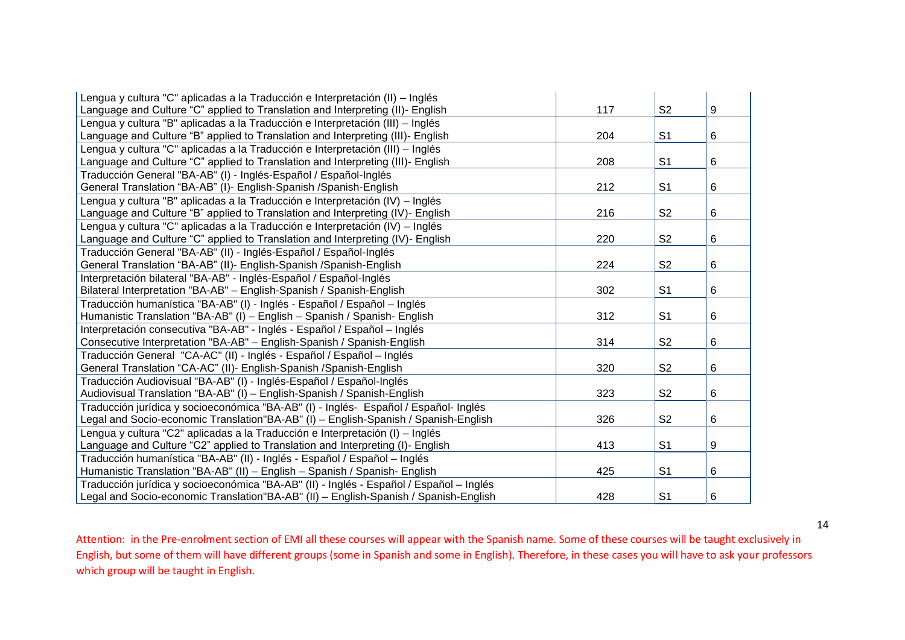| Lengua y cultura "C" aplicadas a la Traducción e Interpretación (II) – Inglés           |     |                |   |
|-----------------------------------------------------------------------------------------|-----|----------------|---|
| Language and Culture "C" applied to Translation and Interpreting (II)- English          | 117 | S <sub>2</sub> | 9 |
| Lengua y cultura "B" aplicadas a la Traducción e Interpretación (III) - Inglés          |     |                |   |
| Language and Culture "B" applied to Translation and Interpreting (III)- English         | 204 | S <sub>1</sub> | 6 |
| Lengua y cultura "C" aplicadas a la Traducción e Interpretación (III) – Inglés          |     |                |   |
| Language and Culture "C" applied to Translation and Interpreting (III)- English         | 208 | S <sub>1</sub> | 6 |
| Traducción General "BA-AB" (I) - Inglés-Español / Español-Inglés                        |     |                |   |
| General Translation "BA-AB" (I)- English-Spanish /Spanish-English                       | 212 | S <sub>1</sub> | 6 |
| Lengua y cultura "B" aplicadas a la Traducción e Interpretación (IV) – Inglés           |     |                |   |
| Language and Culture "B" applied to Translation and Interpreting (IV)- English          | 216 | S <sub>2</sub> | 6 |
| Lengua y cultura "C" aplicadas a la Traducción e Interpretación (IV) – Inglés           |     |                |   |
| Language and Culture "C" applied to Translation and Interpreting (IV)- English          | 220 | S <sub>2</sub> | 6 |
| Traducción General "BA-AB" (II) - Inglés-Español / Español-Inglés                       |     |                |   |
| General Translation "BA-AB" (II)- English-Spanish / Spanish-English                     | 224 | S <sub>2</sub> | 6 |
| Interpretación bilateral "BA-AB" - Inglés-Español / Español-Inglés                      |     |                |   |
| Bilateral Interpretation "BA-AB" - English-Spanish / Spanish-English                    | 302 | S <sub>1</sub> | 6 |
| Traducción humanística "BA-AB" (I) - Inglés - Español / Español – Inglés                |     |                |   |
| Humanistic Translation "BA-AB" (I) - English - Spanish / Spanish- English               | 312 | S <sub>1</sub> | 6 |
| Interpretación consecutiva "BA-AB" - Inglés - Español / Español - Inglés                |     |                |   |
| Consecutive Interpretation "BA-AB" - English-Spanish / Spanish-English                  | 314 | S <sub>2</sub> | 6 |
| Traducción General "CA-AC" (II) - Inglés - Español / Español - Inglés                   |     |                |   |
| General Translation "CA-AC" (II)- English-Spanish / Spanish-English                     | 320 | S <sub>2</sub> | 6 |
| Traducción Audiovisual "BA-AB" (I) - Inglés-Español / Español-Inglés                    |     |                |   |
| Audiovisual Translation "BA-AB" (I) - English-Spanish / Spanish-English                 | 323 | S <sub>2</sub> | 6 |
| Traducción jurídica y socioeconómica "BA-AB" (I) - Inglés- Español / Español- Inglés    |     |                |   |
| Legal and Socio-economic Translation"BA-AB" (I) - English-Spanish / Spanish-English     | 326 | S <sub>2</sub> | 6 |
| Lengua y cultura "C2" aplicadas a la Traducción e Interpretación (I) – Inglés           |     |                |   |
| Language and Culture "C2" applied to Translation and Interpreting (I)- English          | 413 | S <sub>1</sub> | 9 |
| Traducción humanística "BA-AB" (II) - Inglés - Español / Español - Inglés               |     |                |   |
| Humanistic Translation "BA-AB" (II) - English - Spanish / Spanish- English              | 425 | S <sub>1</sub> | 6 |
| Traducción jurídica y socioeconómica "BA-AB" (II) - Inglés - Español / Español – Inglés |     |                |   |
| Legal and Socio-economic Translation"BA-AB" (II) - English-Spanish / Spanish-English    | 428 | S <sub>1</sub> | 6 |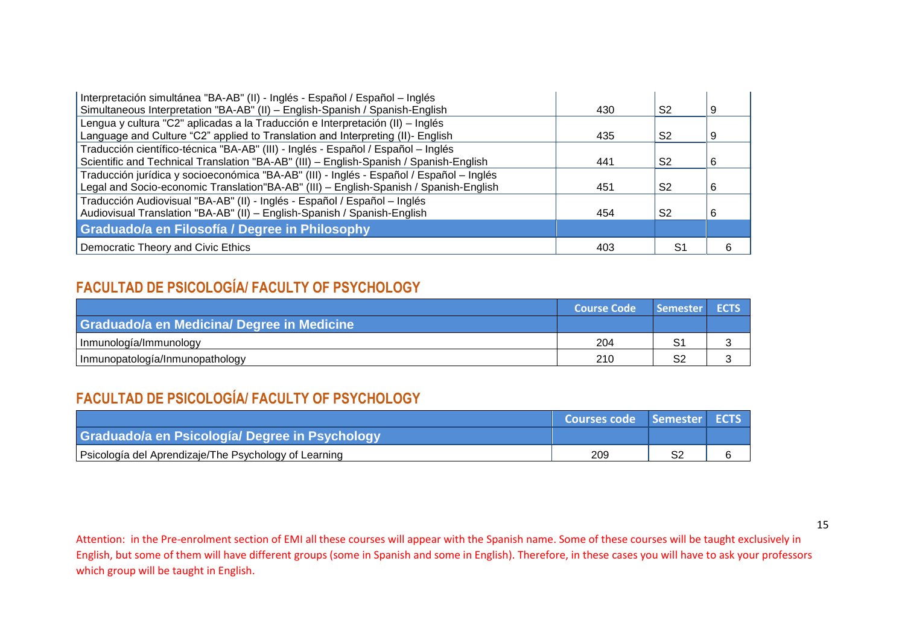| Interpretación simultánea "BA-AB" (II) - Inglés - Español / Español - Inglés             |     |                |    |
|------------------------------------------------------------------------------------------|-----|----------------|----|
| Simultaneous Interpretation "BA-AB" (II) - English-Spanish / Spanish-English             | 430 | S <sub>2</sub> | 9  |
| Lengua y cultura "C2" aplicadas a la Traducción e Interpretación (II) – Inglés           |     |                |    |
| Language and Culture "C2" applied to Translation and Interpreting (II)- English          | 435 | S <sub>2</sub> | -9 |
| Traducción científico-técnica "BA-AB" (III) - Inglés - Español / Español – Inglés        |     |                |    |
| Scientific and Technical Translation "BA-AB" (III) - English-Spanish / Spanish-English   | 441 | S <sub>2</sub> | 6  |
| Traducción jurídica y socioeconómica "BA-AB" (III) - Inglés - Español / Español – Inglés |     |                |    |
| Legal and Socio-economic Translation"BA-AB" (III) - English-Spanish / Spanish-English    | 451 | S <sub>2</sub> | 6  |
| Traducción Audiovisual "BA-AB" (II) - Inglés - Español / Español - Inglés                |     |                |    |
| Audiovisual Translation "BA-AB" (II) - English-Spanish / Spanish-English                 | 454 | S <sub>2</sub> | 6  |
| Graduado/a en Filosofía / Degree in Philosophy                                           |     |                |    |
| Democratic Theory and Civic Ethics                                                       | 403 | S1             |    |

## **FACULTAD DE PSICOLOGÍA/ FACULTY OF PSYCHOLOGY**

|                                            | <b>Course Code</b> | Semester ECTS |  |
|--------------------------------------------|--------------------|---------------|--|
| Graduado/a en Medicina/ Degree in Medicine |                    |               |  |
| Inmunología/Immunology                     | 204                |               |  |
| Inmunopatología/Inmunopathology            | 210                | S.            |  |

### **FACULTAD DE PSICOLOGÍA/ FACULTY OF PSYCHOLOGY**

|                                                       | <b>Courses code Semester ECTS</b> |     |  |
|-------------------------------------------------------|-----------------------------------|-----|--|
| Graduado/a en Psicología/ Degree in Psychology        |                                   |     |  |
| Psicología del Aprendizaje/The Psychology of Learning | 209                               | .cr |  |